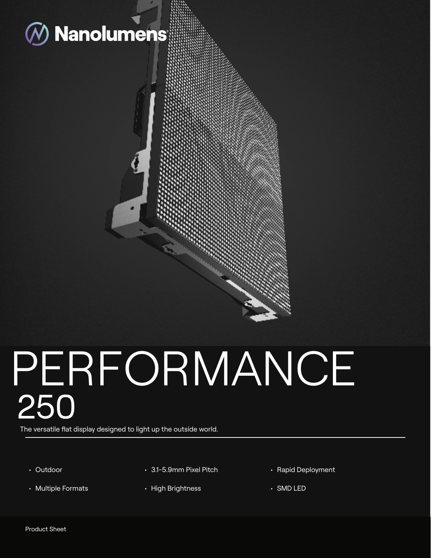

# PERFORMANCE 250

The versatile flat display designed to light up the outside world.

- Outdoor
- Multiple Formats
- 3.1-5.9mm Pixel Pitch
- High Brightness
- Rapid Deployment
- SMD LED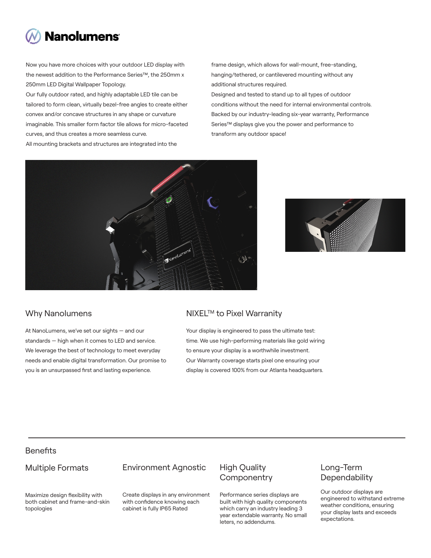

Now you have more choices with your outdoor LED display with the newest addition to the Performance Series™, the 250mm x 250mm LED Digital Wallpaper Topology.

Our fully outdoor rated, and highly adaptable LED tile can be tailored to form clean, virtually bezel-free angles to create either convex and/or concave structures in any shape or curvature imaginable. This smaller form factor tile allows for micro-faceted curves, and thus creates a more seamless curve.

All mounting brackets and structures are integrated into the

frame design, which allows for wall-mount, free-standing, hanging/tethered, or cantilevered mounting without any additional structures required.

Designed and tested to stand up to all types of outdoor conditions without the need for internal environmental controls. Backed by our industry-leading six-year warranty, Performance Series™ displays give you the power and performance to transform any outdoor space!





At NanoLumens, we've set our sights — and our standards — high when it comes to LED and service. We leverage the best of technology to meet everyday needs and enable digital transformation. Our promise to you is an unsurpassed first and lasting experience.

#### Why Nanolumens NIXEL™ to Pixel Warranity

Your display is engineered to pass the ultimate test: time. We use high-performing materials like gold wiring to ensure your display is a worthwhile investment. Our Warranty coverage starts pixel one ensuring your display is covered 100% from our Atlanta headquarters.

# **Benefits**

#### Multiple Formats

#### Environment Agnostic

Maximize design flexibility with both cabinet and frame-and-skin topologies

Create displays in any environment with confidence knowing each cabinet is fully IP65 Rated

## High Quality **Componentry**

Performance series displays are built with high quality components which carry an industry leading 3 year extendable warranty. No small leters, no addendums.

### Long-Term **Dependability**

Our outdoor displays are engineered to withstand extreme weather conditions, ensuring your display lasts and exceeds expectations.